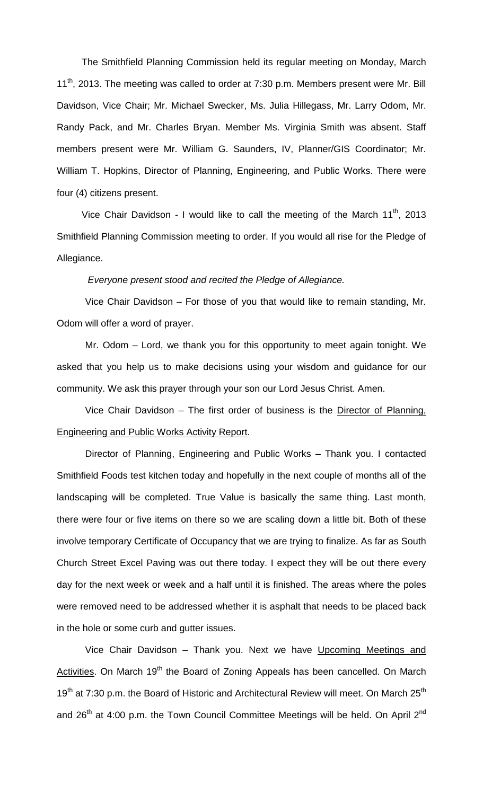The Smithfield Planning Commission held its regular meeting on Monday, March 11<sup>th</sup>, 2013. The meeting was called to order at 7:30 p.m. Members present were Mr. Bill Davidson, Vice Chair; Mr. Michael Swecker, Ms. Julia Hillegass, Mr. Larry Odom, Mr. Randy Pack, and Mr. Charles Bryan. Member Ms. Virginia Smith was absent. Staff members present were Mr. William G. Saunders, IV, Planner/GIS Coordinator; Mr. William T. Hopkins, Director of Planning, Engineering, and Public Works. There were four (4) citizens present.

Vice Chair Davidson - I would like to call the meeting of the March  $11<sup>th</sup>$ , 2013 Smithfield Planning Commission meeting to order. If you would all rise for the Pledge of Allegiance.

*Everyone present stood and recited the Pledge of Allegiance.*

Vice Chair Davidson – For those of you that would like to remain standing, Mr. Odom will offer a word of prayer.

Mr. Odom – Lord, we thank you for this opportunity to meet again tonight. We asked that you help us to make decisions using your wisdom and guidance for our community. We ask this prayer through your son our Lord Jesus Christ. Amen.

Vice Chair Davidson - The first order of business is the Director of Planning, Engineering and Public Works Activity Report.

Director of Planning, Engineering and Public Works – Thank you. I contacted Smithfield Foods test kitchen today and hopefully in the next couple of months all of the landscaping will be completed. True Value is basically the same thing. Last month, there were four or five items on there so we are scaling down a little bit. Both of these involve temporary Certificate of Occupancy that we are trying to finalize. As far as South Church Street Excel Paving was out there today. I expect they will be out there every day for the next week or week and a half until it is finished. The areas where the poles were removed need to be addressed whether it is asphalt that needs to be placed back in the hole or some curb and gutter issues.

Vice Chair Davidson – Thank you. Next we have Upcoming Meetings and Activities. On March 19<sup>th</sup> the Board of Zoning Appeals has been cancelled. On March 19<sup>th</sup> at 7:30 p.m. the Board of Historic and Architectural Review will meet. On March 25<sup>th</sup> and  $26<sup>th</sup>$  at 4:00 p.m. the Town Council Committee Meetings will be held. On April  $2<sup>nd</sup>$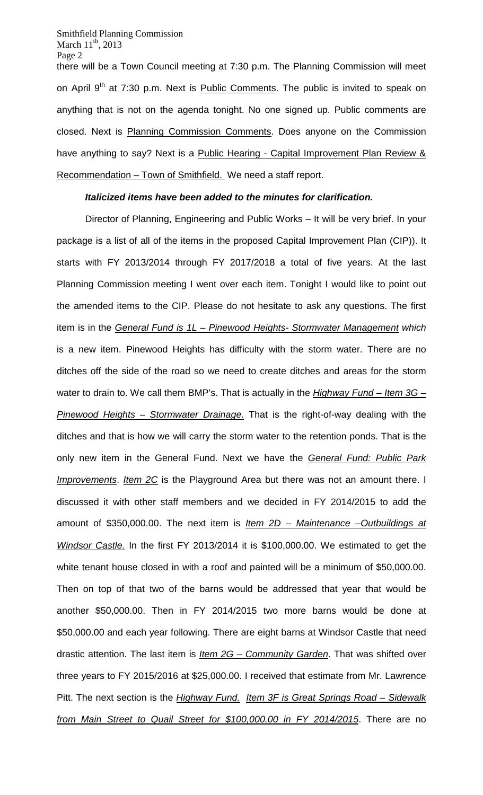there will be a Town Council meeting at 7:30 p.m. The Planning Commission will meet on April 9<sup>th</sup> at 7:30 p.m. Next is **Public Comments**. The public is invited to speak on anything that is not on the agenda tonight. No one signed up. Public comments are closed. Next is Planning Commission Comments. Does anyone on the Commission have anything to say? Next is a Public Hearing - Capital Improvement Plan Review & Recommendation – Town of Smithfield. We need a staff report.

# *Italicized items have been added to the minutes for clarification.*

Director of Planning, Engineering and Public Works – It will be very brief. In your package is a list of all of the items in the proposed Capital Improvement Plan (CIP)). It starts with FY 2013/2014 through FY 2017/2018 a total of five years. At the last Planning Commission meeting I went over each item. Tonight I would like to point out the amended items to the CIP. Please do not hesitate to ask any questions. The first item is in the *General Fund is 1L – Pinewood Heights- Stormwater Management which*  is a new item. Pinewood Heights has difficulty with the storm water. There are no ditches off the side of the road so we need to create ditches and areas for the storm water to drain to. We call them BMP's. That is actually in the *Highway Fund – Item 3G – Pinewood Heights – Stormwater Drainage.* That is the right-of-way dealing with the ditches and that is how we will carry the storm water to the retention ponds. That is the only new item in the General Fund. Next we have the *General Fund: Public Park Improvements*. *Item 2C* is the Playground Area but there was not an amount there. I discussed it with other staff members and we decided in FY 2014/2015 to add the amount of \$350,000.00. The next item is *Item 2D – Maintenance –Outbuildings at Windsor Castle.* In the first FY 2013/2014 it is \$100,000.00. We estimated to get the white tenant house closed in with a roof and painted will be a minimum of \$50,000.00. Then on top of that two of the barns would be addressed that year that would be another \$50,000.00. Then in FY 2014/2015 two more barns would be done at \$50,000.00 and each year following. There are eight barns at Windsor Castle that need drastic attention. The last item is *Item 2G – Community Garden*. That was shifted over three years to FY 2015/2016 at \$25,000.00. I received that estimate from Mr. Lawrence Pitt. The next section is the *Highway Fund. Item 3F is Great Springs Road – Sidewalk from Main Street to Quail Street for \$100,000.00 in FY 2014/2015*. There are no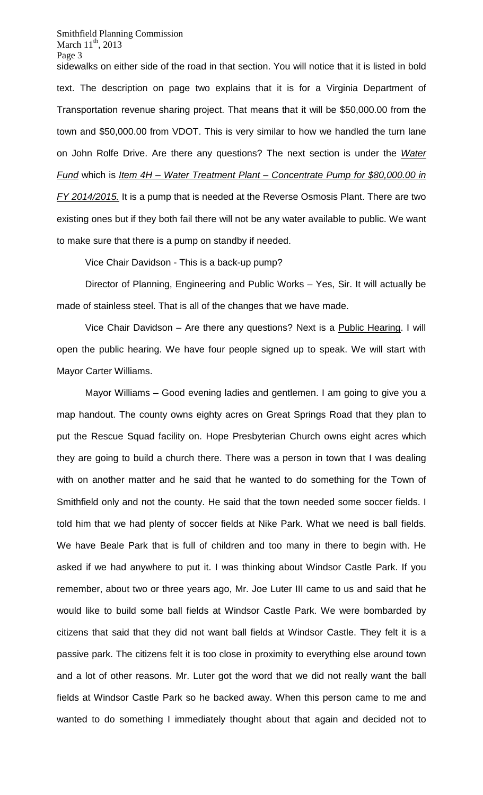sidewalks on either side of the road in that section. You will notice that it is listed in bold text. The description on page two explains that it is for a Virginia Department of Transportation revenue sharing project. That means that it will be \$50,000.00 from the town and \$50,000.00 from VDOT. This is very similar to how we handled the turn lane on John Rolfe Drive. Are there any questions? The next section is under the *Water Fund* which is *Item 4H – Water Treatment Plant – Concentrate Pump for \$80,000.00 in FY 2014/2015.* It is a pump that is needed at the Reverse Osmosis Plant. There are two existing ones but if they both fail there will not be any water available to public. We want to make sure that there is a pump on standby if needed.

Vice Chair Davidson - This is a back-up pump?

Director of Planning, Engineering and Public Works – Yes, Sir. It will actually be made of stainless steel. That is all of the changes that we have made.

Vice Chair Davidson – Are there any questions? Next is a Public Hearing. I will open the public hearing. We have four people signed up to speak. We will start with Mayor Carter Williams.

Mayor Williams – Good evening ladies and gentlemen. I am going to give you a map handout. The county owns eighty acres on Great Springs Road that they plan to put the Rescue Squad facility on. Hope Presbyterian Church owns eight acres which they are going to build a church there. There was a person in town that I was dealing with on another matter and he said that he wanted to do something for the Town of Smithfield only and not the county. He said that the town needed some soccer fields. I told him that we had plenty of soccer fields at Nike Park. What we need is ball fields. We have Beale Park that is full of children and too many in there to begin with. He asked if we had anywhere to put it. I was thinking about Windsor Castle Park. If you remember, about two or three years ago, Mr. Joe Luter III came to us and said that he would like to build some ball fields at Windsor Castle Park. We were bombarded by citizens that said that they did not want ball fields at Windsor Castle. They felt it is a passive park. The citizens felt it is too close in proximity to everything else around town and a lot of other reasons. Mr. Luter got the word that we did not really want the ball fields at Windsor Castle Park so he backed away. When this person came to me and wanted to do something I immediately thought about that again and decided not to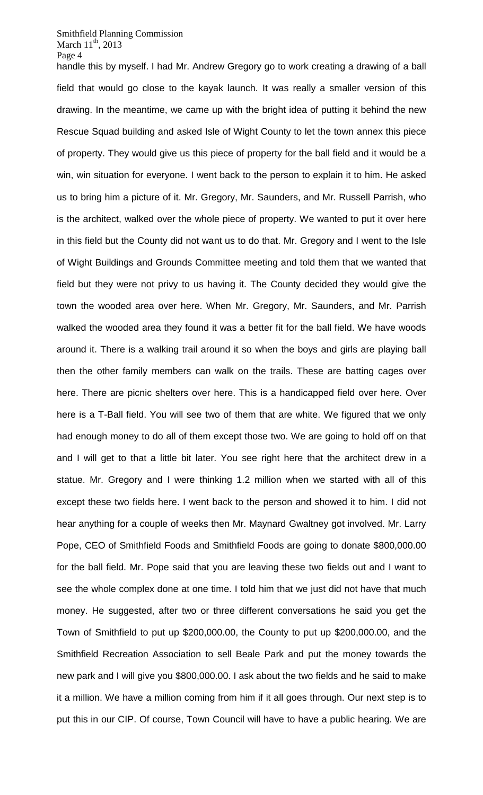handle this by myself. I had Mr. Andrew Gregory go to work creating a drawing of a ball field that would go close to the kayak launch. It was really a smaller version of this drawing. In the meantime, we came up with the bright idea of putting it behind the new Rescue Squad building and asked Isle of Wight County to let the town annex this piece of property. They would give us this piece of property for the ball field and it would be a win, win situation for everyone. I went back to the person to explain it to him. He asked us to bring him a picture of it. Mr. Gregory, Mr. Saunders, and Mr. Russell Parrish, who is the architect, walked over the whole piece of property. We wanted to put it over here in this field but the County did not want us to do that. Mr. Gregory and I went to the Isle of Wight Buildings and Grounds Committee meeting and told them that we wanted that field but they were not privy to us having it. The County decided they would give the town the wooded area over here. When Mr. Gregory, Mr. Saunders, and Mr. Parrish walked the wooded area they found it was a better fit for the ball field. We have woods around it. There is a walking trail around it so when the boys and girls are playing ball then the other family members can walk on the trails. These are batting cages over here. There are picnic shelters over here. This is a handicapped field over here. Over here is a T-Ball field. You will see two of them that are white. We figured that we only had enough money to do all of them except those two. We are going to hold off on that and I will get to that a little bit later. You see right here that the architect drew in a statue. Mr. Gregory and I were thinking 1.2 million when we started with all of this except these two fields here. I went back to the person and showed it to him. I did not hear anything for a couple of weeks then Mr. Maynard Gwaltney got involved. Mr. Larry Pope, CEO of Smithfield Foods and Smithfield Foods are going to donate \$800,000.00 for the ball field. Mr. Pope said that you are leaving these two fields out and I want to see the whole complex done at one time. I told him that we just did not have that much money. He suggested, after two or three different conversations he said you get the Town of Smithfield to put up \$200,000.00, the County to put up \$200,000.00, and the Smithfield Recreation Association to sell Beale Park and put the money towards the new park and I will give you \$800,000.00. I ask about the two fields and he said to make it a million. We have a million coming from him if it all goes through. Our next step is to put this in our CIP. Of course, Town Council will have to have a public hearing. We are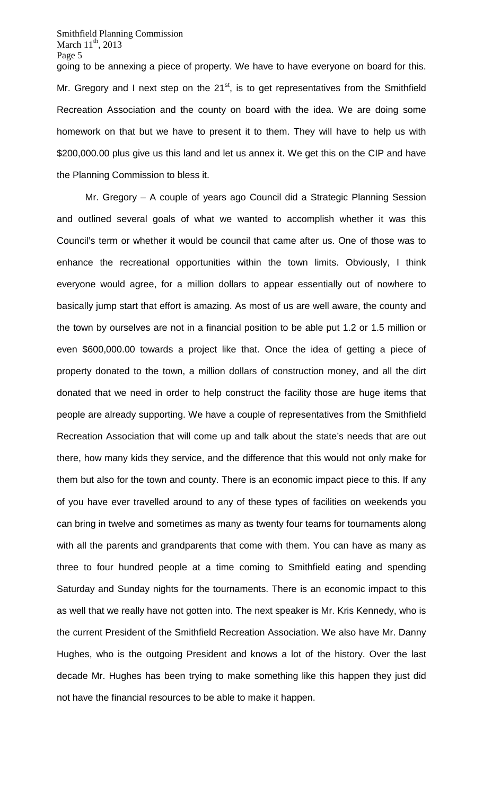going to be annexing a piece of property. We have to have everyone on board for this. Mr. Gregory and I next step on the  $21<sup>st</sup>$ , is to get representatives from the Smithfield Recreation Association and the county on board with the idea. We are doing some homework on that but we have to present it to them. They will have to help us with \$200,000.00 plus give us this land and let us annex it. We get this on the CIP and have the Planning Commission to bless it.

Mr. Gregory – A couple of years ago Council did a Strategic Planning Session and outlined several goals of what we wanted to accomplish whether it was this Council's term or whether it would be council that came after us. One of those was to enhance the recreational opportunities within the town limits. Obviously, I think everyone would agree, for a million dollars to appear essentially out of nowhere to basically jump start that effort is amazing. As most of us are well aware, the county and the town by ourselves are not in a financial position to be able put 1.2 or 1.5 million or even \$600,000.00 towards a project like that. Once the idea of getting a piece of property donated to the town, a million dollars of construction money, and all the dirt donated that we need in order to help construct the facility those are huge items that people are already supporting. We have a couple of representatives from the Smithfield Recreation Association that will come up and talk about the state's needs that are out there, how many kids they service, and the difference that this would not only make for them but also for the town and county. There is an economic impact piece to this. If any of you have ever travelled around to any of these types of facilities on weekends you can bring in twelve and sometimes as many as twenty four teams for tournaments along with all the parents and grandparents that come with them. You can have as many as three to four hundred people at a time coming to Smithfield eating and spending Saturday and Sunday nights for the tournaments. There is an economic impact to this as well that we really have not gotten into. The next speaker is Mr. Kris Kennedy, who is the current President of the Smithfield Recreation Association. We also have Mr. Danny Hughes, who is the outgoing President and knows a lot of the history. Over the last decade Mr. Hughes has been trying to make something like this happen they just did not have the financial resources to be able to make it happen.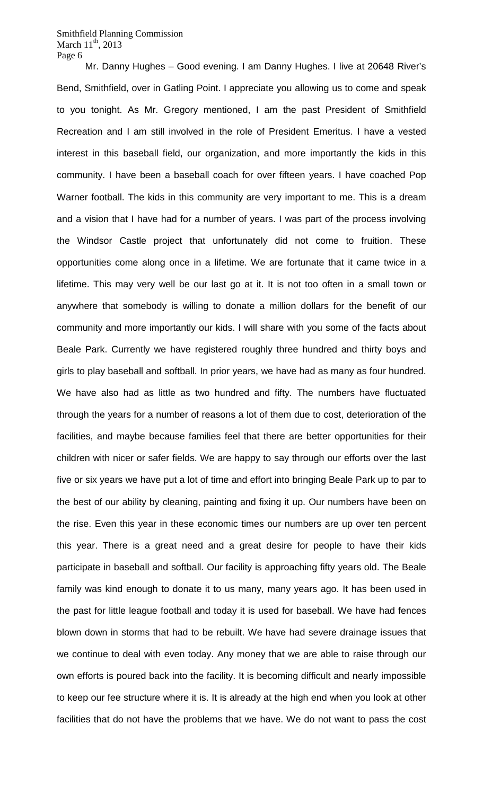Mr. Danny Hughes – Good evening. I am Danny Hughes. I live at 20648 River's Bend, Smithfield, over in Gatling Point. I appreciate you allowing us to come and speak to you tonight. As Mr. Gregory mentioned, I am the past President of Smithfield Recreation and I am still involved in the role of President Emeritus. I have a vested interest in this baseball field, our organization, and more importantly the kids in this community. I have been a baseball coach for over fifteen years. I have coached Pop Warner football. The kids in this community are very important to me. This is a dream and a vision that I have had for a number of years. I was part of the process involving the Windsor Castle project that unfortunately did not come to fruition. These opportunities come along once in a lifetime. We are fortunate that it came twice in a lifetime. This may very well be our last go at it. It is not too often in a small town or anywhere that somebody is willing to donate a million dollars for the benefit of our community and more importantly our kids. I will share with you some of the facts about Beale Park. Currently we have registered roughly three hundred and thirty boys and girls to play baseball and softball. In prior years, we have had as many as four hundred. We have also had as little as two hundred and fifty. The numbers have fluctuated through the years for a number of reasons a lot of them due to cost, deterioration of the facilities, and maybe because families feel that there are better opportunities for their children with nicer or safer fields. We are happy to say through our efforts over the last five or six years we have put a lot of time and effort into bringing Beale Park up to par to the best of our ability by cleaning, painting and fixing it up. Our numbers have been on the rise. Even this year in these economic times our numbers are up over ten percent this year. There is a great need and a great desire for people to have their kids participate in baseball and softball. Our facility is approaching fifty years old. The Beale family was kind enough to donate it to us many, many years ago. It has been used in the past for little league football and today it is used for baseball. We have had fences blown down in storms that had to be rebuilt. We have had severe drainage issues that we continue to deal with even today. Any money that we are able to raise through our own efforts is poured back into the facility. It is becoming difficult and nearly impossible to keep our fee structure where it is. It is already at the high end when you look at other facilities that do not have the problems that we have. We do not want to pass the cost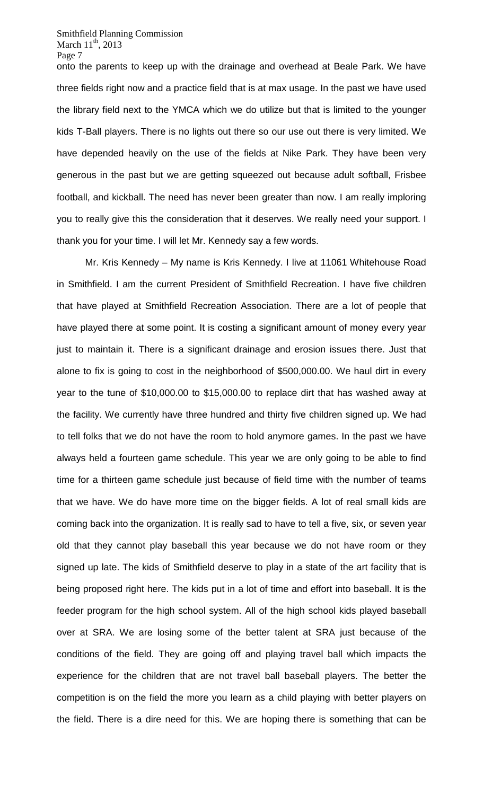onto the parents to keep up with the drainage and overhead at Beale Park. We have three fields right now and a practice field that is at max usage. In the past we have used the library field next to the YMCA which we do utilize but that is limited to the younger kids T-Ball players. There is no lights out there so our use out there is very limited. We have depended heavily on the use of the fields at Nike Park. They have been very generous in the past but we are getting squeezed out because adult softball, Frisbee football, and kickball. The need has never been greater than now. I am really imploring you to really give this the consideration that it deserves. We really need your support. I thank you for your time. I will let Mr. Kennedy say a few words.

Mr. Kris Kennedy – My name is Kris Kennedy. I live at 11061 Whitehouse Road in Smithfield. I am the current President of Smithfield Recreation. I have five children that have played at Smithfield Recreation Association. There are a lot of people that have played there at some point. It is costing a significant amount of money every year just to maintain it. There is a significant drainage and erosion issues there. Just that alone to fix is going to cost in the neighborhood of \$500,000.00. We haul dirt in every year to the tune of \$10,000.00 to \$15,000.00 to replace dirt that has washed away at the facility. We currently have three hundred and thirty five children signed up. We had to tell folks that we do not have the room to hold anymore games. In the past we have always held a fourteen game schedule. This year we are only going to be able to find time for a thirteen game schedule just because of field time with the number of teams that we have. We do have more time on the bigger fields. A lot of real small kids are coming back into the organization. It is really sad to have to tell a five, six, or seven year old that they cannot play baseball this year because we do not have room or they signed up late. The kids of Smithfield deserve to play in a state of the art facility that is being proposed right here. The kids put in a lot of time and effort into baseball. It is the feeder program for the high school system. All of the high school kids played baseball over at SRA. We are losing some of the better talent at SRA just because of the conditions of the field. They are going off and playing travel ball which impacts the experience for the children that are not travel ball baseball players. The better the competition is on the field the more you learn as a child playing with better players on the field. There is a dire need for this. We are hoping there is something that can be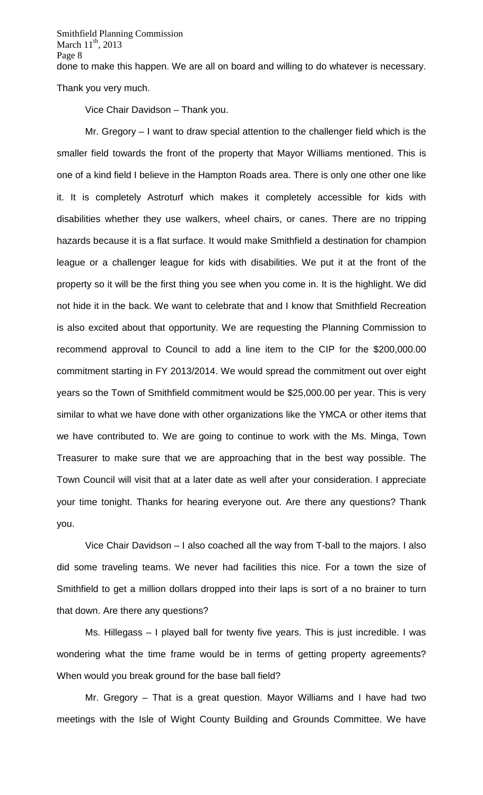done to make this happen. We are all on board and willing to do whatever is necessary.

Thank you very much.

Vice Chair Davidson – Thank you.

Mr. Gregory – I want to draw special attention to the challenger field which is the smaller field towards the front of the property that Mayor Williams mentioned. This is one of a kind field I believe in the Hampton Roads area. There is only one other one like it. It is completely Astroturf which makes it completely accessible for kids with disabilities whether they use walkers, wheel chairs, or canes. There are no tripping hazards because it is a flat surface. It would make Smithfield a destination for champion league or a challenger league for kids with disabilities. We put it at the front of the property so it will be the first thing you see when you come in. It is the highlight. We did not hide it in the back. We want to celebrate that and I know that Smithfield Recreation is also excited about that opportunity. We are requesting the Planning Commission to recommend approval to Council to add a line item to the CIP for the \$200,000.00 commitment starting in FY 2013/2014. We would spread the commitment out over eight years so the Town of Smithfield commitment would be \$25,000.00 per year. This is very similar to what we have done with other organizations like the YMCA or other items that we have contributed to. We are going to continue to work with the Ms. Minga, Town Treasurer to make sure that we are approaching that in the best way possible. The Town Council will visit that at a later date as well after your consideration. I appreciate your time tonight. Thanks for hearing everyone out. Are there any questions? Thank you.

Vice Chair Davidson – I also coached all the way from T-ball to the majors. I also did some traveling teams. We never had facilities this nice. For a town the size of Smithfield to get a million dollars dropped into their laps is sort of a no brainer to turn that down. Are there any questions?

Ms. Hillegass – I played ball for twenty five years. This is just incredible. I was wondering what the time frame would be in terms of getting property agreements? When would you break ground for the base ball field?

Mr. Gregory – That is a great question. Mayor Williams and I have had two meetings with the Isle of Wight County Building and Grounds Committee. We have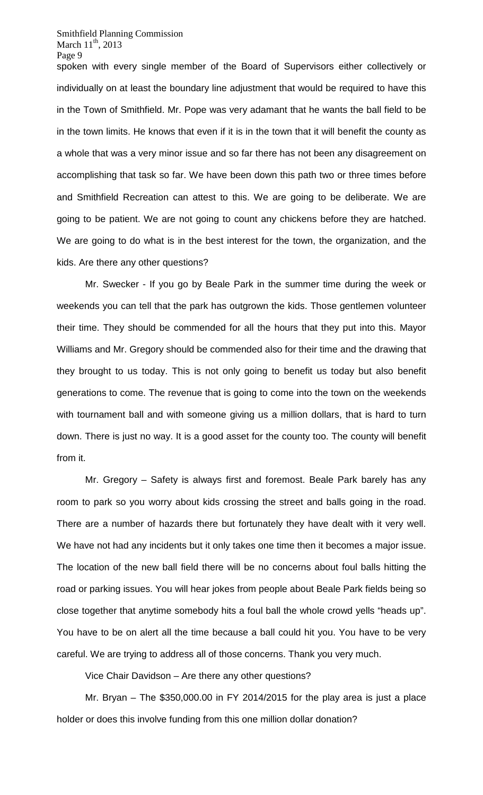spoken with every single member of the Board of Supervisors either collectively or individually on at least the boundary line adjustment that would be required to have this in the Town of Smithfield. Mr. Pope was very adamant that he wants the ball field to be in the town limits. He knows that even if it is in the town that it will benefit the county as a whole that was a very minor issue and so far there has not been any disagreement on accomplishing that task so far. We have been down this path two or three times before and Smithfield Recreation can attest to this. We are going to be deliberate. We are going to be patient. We are not going to count any chickens before they are hatched. We are going to do what is in the best interest for the town, the organization, and the kids. Are there any other questions?

Mr. Swecker - If you go by Beale Park in the summer time during the week or weekends you can tell that the park has outgrown the kids. Those gentlemen volunteer their time. They should be commended for all the hours that they put into this. Mayor Williams and Mr. Gregory should be commended also for their time and the drawing that they brought to us today. This is not only going to benefit us today but also benefit generations to come. The revenue that is going to come into the town on the weekends with tournament ball and with someone giving us a million dollars, that is hard to turn down. There is just no way. It is a good asset for the county too. The county will benefit from it.

Mr. Gregory – Safety is always first and foremost. Beale Park barely has any room to park so you worry about kids crossing the street and balls going in the road. There are a number of hazards there but fortunately they have dealt with it very well. We have not had any incidents but it only takes one time then it becomes a major issue. The location of the new ball field there will be no concerns about foul balls hitting the road or parking issues. You will hear jokes from people about Beale Park fields being so close together that anytime somebody hits a foul ball the whole crowd yells "heads up". You have to be on alert all the time because a ball could hit you. You have to be very careful. We are trying to address all of those concerns. Thank you very much.

Vice Chair Davidson – Are there any other questions?

Mr. Bryan – The \$350,000.00 in FY 2014/2015 for the play area is just a place holder or does this involve funding from this one million dollar donation?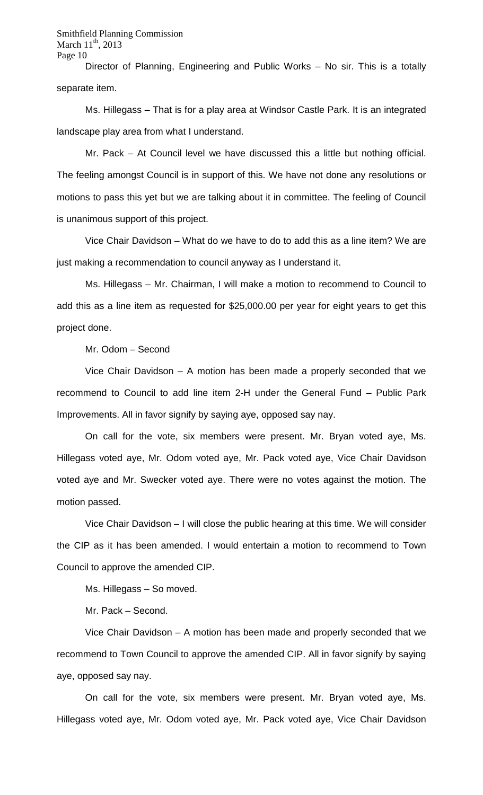Director of Planning, Engineering and Public Works – No sir. This is a totally separate item.

Ms. Hillegass – That is for a play area at Windsor Castle Park. It is an integrated landscape play area from what I understand.

Mr. Pack – At Council level we have discussed this a little but nothing official. The feeling amongst Council is in support of this. We have not done any resolutions or motions to pass this yet but we are talking about it in committee. The feeling of Council is unanimous support of this project.

Vice Chair Davidson – What do we have to do to add this as a line item? We are just making a recommendation to council anyway as I understand it.

Ms. Hillegass – Mr. Chairman, I will make a motion to recommend to Council to add this as a line item as requested for \$25,000.00 per year for eight years to get this project done.

Mr. Odom – Second

Vice Chair Davidson – A motion has been made a properly seconded that we recommend to Council to add line item 2-H under the General Fund – Public Park Improvements. All in favor signify by saying aye, opposed say nay.

On call for the vote, six members were present. Mr. Bryan voted aye, Ms. Hillegass voted aye, Mr. Odom voted aye, Mr. Pack voted aye, Vice Chair Davidson voted aye and Mr. Swecker voted aye. There were no votes against the motion. The motion passed.

Vice Chair Davidson – I will close the public hearing at this time. We will consider the CIP as it has been amended. I would entertain a motion to recommend to Town Council to approve the amended CIP.

Ms. Hillegass – So moved.

Mr. Pack – Second.

Vice Chair Davidson – A motion has been made and properly seconded that we recommend to Town Council to approve the amended CIP. All in favor signify by saying aye, opposed say nay.

On call for the vote, six members were present. Mr. Bryan voted aye, Ms. Hillegass voted aye, Mr. Odom voted aye, Mr. Pack voted aye, Vice Chair Davidson